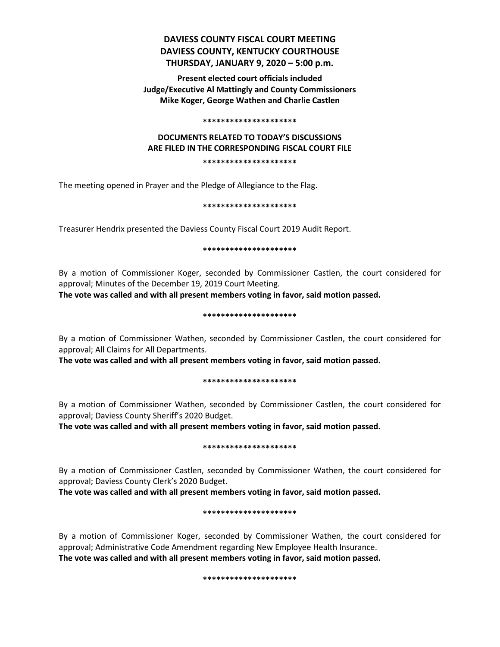## **DAVIESS COUNTY FISCAL COURT MEETING DAVIESS COUNTY, KENTUCKY COURTHOUSE THURSDAY, JANUARY 9, 2020 – 5:00 p.m.**

**Present elected court officials included Judge/Executive Al Mattingly and County Commissioners Mike Koger, George Wathen and Charlie Castlen**

#### **\*\*\*\*\*\*\*\*\*\*\*\*\*\*\*\*\*\*\*\*\***

# **DOCUMENTS RELATED TO TODAY'S DISCUSSIONS ARE FILED IN THE CORRESPONDING FISCAL COURT FILE**

**\*\*\*\*\*\*\*\*\*\*\*\*\*\*\*\*\*\*\*\*\***

The meeting opened in Prayer and the Pledge of Allegiance to the Flag.

**\*\*\*\*\*\*\*\*\*\*\*\*\*\*\*\*\*\*\*\*\***

Treasurer Hendrix presented the Daviess County Fiscal Court 2019 Audit Report.

#### **\*\*\*\*\*\*\*\*\*\*\*\*\*\*\*\*\*\*\*\*\***

By a motion of Commissioner Koger, seconded by Commissioner Castlen, the court considered for approval; Minutes of the December 19, 2019 Court Meeting.

**The vote was called and with all present members voting in favor, said motion passed.** 

#### **\*\*\*\*\*\*\*\*\*\*\*\*\*\*\*\*\*\*\*\*\***

By a motion of Commissioner Wathen, seconded by Commissioner Castlen, the court considered for approval; All Claims for All Departments.

**The vote was called and with all present members voting in favor, said motion passed.** 

#### **\*\*\*\*\*\*\*\*\*\*\*\*\*\*\*\*\*\*\*\*\***

By a motion of Commissioner Wathen, seconded by Commissioner Castlen, the court considered for approval; Daviess County Sheriff's 2020 Budget.

**The vote was called and with all present members voting in favor, said motion passed.** 

#### **\*\*\*\*\*\*\*\*\*\*\*\*\*\*\*\*\*\*\*\*\***

By a motion of Commissioner Castlen, seconded by Commissioner Wathen, the court considered for approval; Daviess County Clerk's 2020 Budget.

**The vote was called and with all present members voting in favor, said motion passed.** 

#### **\*\*\*\*\*\*\*\*\*\*\*\*\*\*\*\*\*\*\*\*\***

By a motion of Commissioner Koger, seconded by Commissioner Wathen, the court considered for approval; Administrative Code Amendment regarding New Employee Health Insurance. **The vote was called and with all present members voting in favor, said motion passed.** 

#### **\*\*\*\*\*\*\*\*\*\*\*\*\*\*\*\*\*\*\*\*\***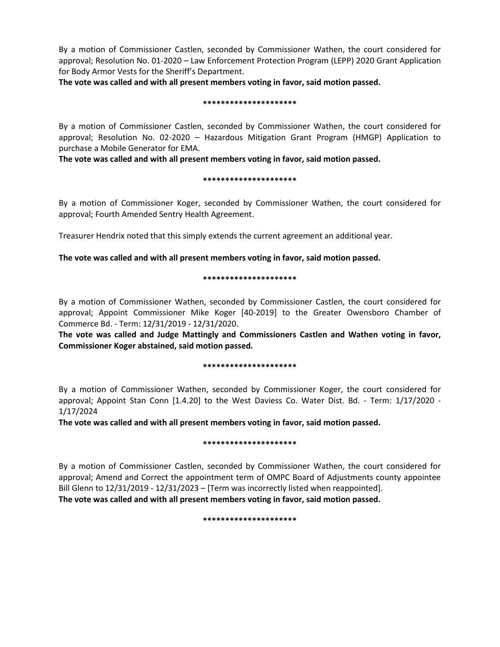By a motion of Commissioner Castlen, seconded by Commissioner Wathen, the court considered for approval; Resolution No. 01-2020 – Law Enforcement Protection Program (LEPP) 2020 Grant Application for Body Armor Vests for the Sheriff's Department.

**The vote was called and with all present members voting in favor, said motion passed.** 

#### **\*\*\*\*\*\*\*\*\*\*\*\*\*\*\*\*\*\*\*\*\***

By a motion of Commissioner Castlen, seconded by Commissioner Wathen, the court considered for approval; Resolution No. 02-2020 – Hazardous Mitigation Grant Program (HMGP) Application to purchase a Mobile Generator for EMA.

**The vote was called and with all present members voting in favor, said motion passed.** 

#### **\*\*\*\*\*\*\*\*\*\*\*\*\*\*\*\*\*\*\*\*\***

By a motion of Commissioner Koger, seconded by Commissioner Wathen, the court considered for approval; Fourth Amended Sentry Health Agreement.

Treasurer Hendrix noted that this simply extends the current agreement an additional year.

### **The vote was called and with all present members voting in favor, said motion passed.**

#### **\*\*\*\*\*\*\*\*\*\*\*\*\*\*\*\*\*\*\*\*\***

By a motion of Commissioner Wathen, seconded by Commissioner Castlen, the court considered for approval; Appoint Commissioner Mike Koger [40-2019] to the Greater Owensboro Chamber of Commerce Bd. - Term: 12/31/2019 - 12/31/2020.

**The vote was called and Judge Mattingly and Commissioners Castlen and Wathen voting in favor, Commissioner Koger abstained, said motion passed.** 

#### **\*\*\*\*\*\*\*\*\*\*\*\*\*\*\*\*\*\*\*\*\***

By a motion of Commissioner Wathen, seconded by Commissioner Koger, the court considered for approval; Appoint Stan Conn [1.4.20] to the West Daviess Co. Water Dist. Bd. - Term: 1/17/2020 - 1/17/2024

**The vote was called and with all present members voting in favor, said motion passed.** 

#### **\*\*\*\*\*\*\*\*\*\*\*\*\*\*\*\*\*\*\*\*\***

By a motion of Commissioner Castlen, seconded by Commissioner Wathen, the court considered for approval; Amend and Correct the appointment term of OMPC Board of Adjustments county appointee Bill Glenn to 12/31/2019 - 12/31/2023 – [Term was incorrectly listed when reappointed]. **The vote was called and with all present members voting in favor, said motion passed.** 

#### **\*\*\*\*\*\*\*\*\*\*\*\*\*\*\*\*\*\*\*\*\***